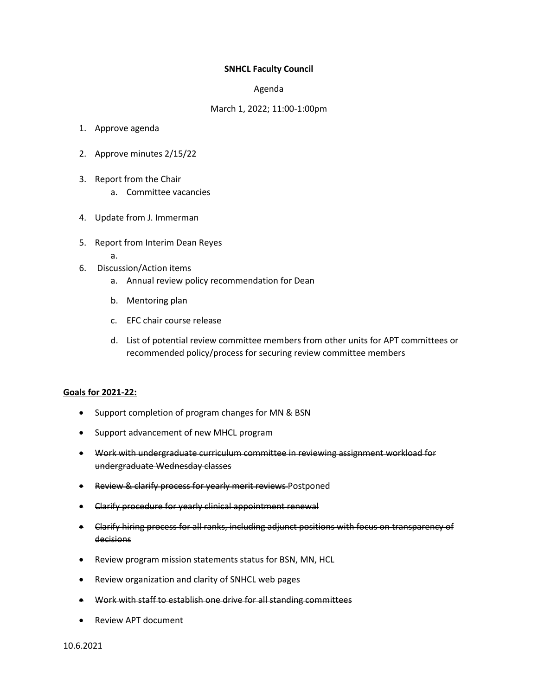## **SNHCL Faculty Council**

## Agenda

## March 1, 2022; 11:00-1:00pm

- 1. Approve agenda
- 2. Approve minutes 2/15/22
- 3. Report from the Chair
	- a. Committee vacancies
- 4. Update from J. Immerman
- 5. Report from Interim Dean Reyes
	- a.
- 6. Discussion/Action items
	- a. Annual review policy recommendation for Dean
	- b. Mentoring plan
	- c. EFC chair course release
	- d. List of potential review committee members from other units for APT committees or recommended policy/process for securing review committee members

## **Goals for 2021-22:**

- Support completion of program changes for MN & BSN
- Support advancement of new MHCL program
- Work with undergraduate curriculum committee in reviewing assignment workload for undergraduate Wednesday classes
- **Review & clarify process for yearly merit reviews Postponed**
- Clarify procedure for yearly clinical appointment renewal
- Clarify hiring process for all ranks, including adjunct positions with focus on transparency of decisions
- Review program mission statements status for BSN, MN, HCL
- Review organization and clarity of SNHCL web pages
- Work with staff to establish one drive for all standing committees
- Review APT document